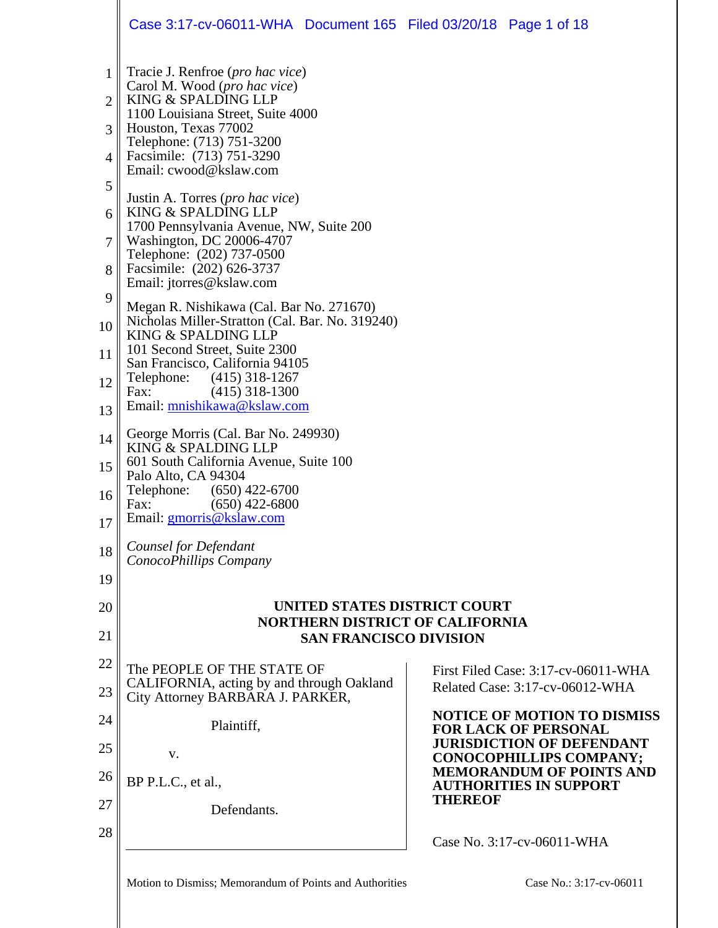|                | Case 3:17-cv-06011-WHA Document 165 Filed 03/20/18 Page 1 of 18                  |                |                                                                    |
|----------------|----------------------------------------------------------------------------------|----------------|--------------------------------------------------------------------|
| 1              | Tracie J. Renfroe ( <i>pro hac vice</i> )                                        |                |                                                                    |
| $\overline{2}$ | Carol M. Wood (pro hac vice)<br>KING & SPALDING LLP                              |                |                                                                    |
| 3              | 1100 Louisiana Street, Suite 4000<br>Houston, Texas 77002                        |                |                                                                    |
| 4              | Telephone: (713) 751-3200<br>Facsimile: (713) 751-3290<br>Email: cwood@kslaw.com |                |                                                                    |
| 5              | Justin A. Torres ( <i>pro hac vice</i> )                                         |                |                                                                    |
| 6              | KING & SPALDING LLP<br>1700 Pennsylvania Avenue, NW, Suite 200                   |                |                                                                    |
| 7              | Washington, DC 20006-4707<br>Telephone: (202) 737-0500                           |                |                                                                    |
| 8              | Facsimile: (202) 626-3737<br>Email: jtorres@kslaw.com                            |                |                                                                    |
| 9              | Megan R. Nishikawa (Cal. Bar No. 271670)                                         |                |                                                                    |
| 10             | Nicholas Miller-Stratton (Cal. Bar. No. 319240)<br>KING & SPALDING LLP           |                |                                                                    |
| 11             | 101 Second Street, Suite 2300<br>San Francisco, California 94105                 |                |                                                                    |
| 12             | Telephone: (415) 318-1267<br>$(415)$ 318-1300<br>Fax:                            |                |                                                                    |
| 13             | Email: mnishikawa@kslaw.com                                                      |                |                                                                    |
| 14             | George Morris (Cal. Bar No. 249930)<br>KING & SPALDING LLP                       |                |                                                                    |
| 15             | 601 South California Avenue, Suite 100<br>Palo Alto, CA 94304                    |                |                                                                    |
| 16             | Telephone:<br>$(650)$ 422-6700                                                   |                |                                                                    |
| 17             | $(650)$ 422-6800<br>Fax:<br>Email: gmorris@kslaw.com                             |                |                                                                    |
| 18             | Counsel for Defendant<br>ConocoPhillips Company                                  |                |                                                                    |
| 19             |                                                                                  |                |                                                                    |
| 20             | UNITED STATES DISTRICT COURT                                                     |                |                                                                    |
| 21             | <b>NORTHERN DISTRICT OF CALIFORNIA</b><br><b>SAN FRANCISCO DIVISION</b>          |                |                                                                    |
| 22             | The PEOPLE OF THE STATE OF                                                       |                | First Filed Case: 3:17-cv-06011-WHA                                |
| 23             | CALIFORNIA, acting by and through Oakland<br>City Attorney BARBARA J. PARKER,    |                | Related Case: 3:17-cv-06012-WHA                                    |
| 24             | Plaintiff,                                                                       |                | <b>NOTICE OF MOTION TO DISMISS</b><br><b>FOR LACK OF PERSONAL</b>  |
| 25             | V.                                                                               |                | <b>JURISDICTION OF DEFENDANT</b><br><b>CONOCOPHILLIPS COMPANY;</b> |
| 26             | BP P.L.C., et al.,                                                               |                | <b>MEMORANDUM OF POINTS AND</b><br><b>AUTHORITIES IN SUPPORT</b>   |
| 27             | Defendants.                                                                      | <b>THEREOF</b> |                                                                    |
| 28             |                                                                                  |                | Case No. 3:17-cv-06011-WHA                                         |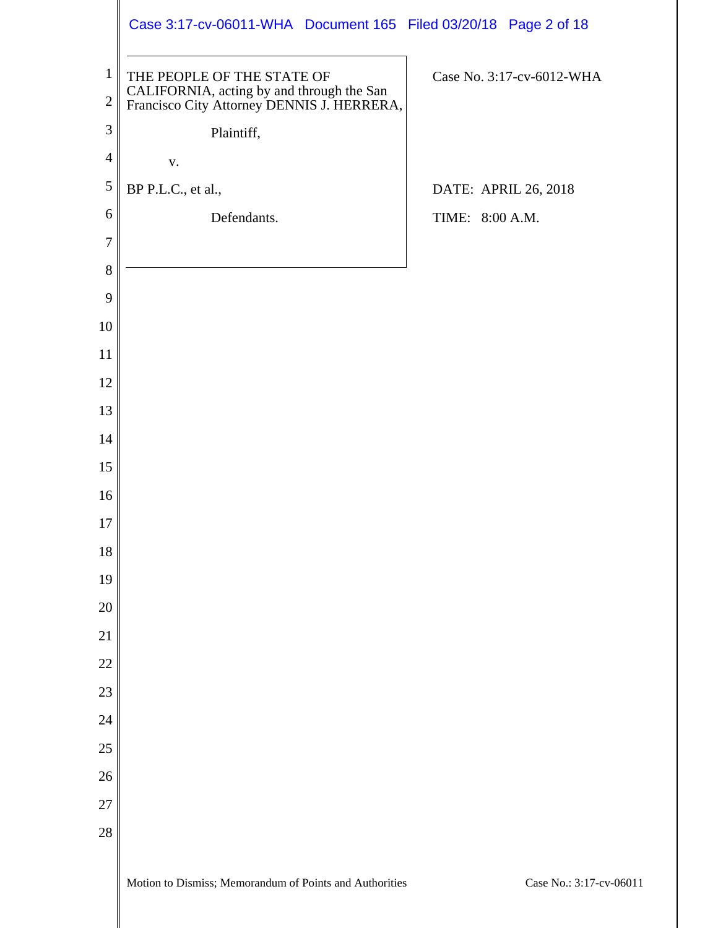| $\mathbf{1}$<br>$\mathbf{2}$<br>3<br>$\overline{4}$<br>5<br>6<br>$\tau$<br>$8\,$<br>9<br>10<br>11<br>12<br>13<br>14<br>15<br>16<br>17<br>18<br>19<br>20<br>$\overline{21}$<br>$\overline{22}$<br>23<br>24 | Case 3:17-cv-06011-WHA Document 165 Filed 03/20/18 Page 2 of 18                                                       |                           |
|-----------------------------------------------------------------------------------------------------------------------------------------------------------------------------------------------------------|-----------------------------------------------------------------------------------------------------------------------|---------------------------|
|                                                                                                                                                                                                           | THE PEOPLE OF THE STATE OF<br>CALIFORNIA, acting by and through the San<br>Francisco City Attorney DENNIS J. HERRERA, | Case No. 3:17-cv-6012-WHA |
|                                                                                                                                                                                                           | Plaintiff,                                                                                                            |                           |
|                                                                                                                                                                                                           | ${\bf V}$ .                                                                                                           |                           |
|                                                                                                                                                                                                           | BP P.L.C., et al.,                                                                                                    | DATE: APRIL 26, 2018      |
|                                                                                                                                                                                                           | Defendants.                                                                                                           | TIME: 8:00 A.M.           |
|                                                                                                                                                                                                           |                                                                                                                       |                           |
|                                                                                                                                                                                                           |                                                                                                                       |                           |
|                                                                                                                                                                                                           |                                                                                                                       |                           |
|                                                                                                                                                                                                           |                                                                                                                       |                           |
|                                                                                                                                                                                                           |                                                                                                                       |                           |
|                                                                                                                                                                                                           |                                                                                                                       |                           |
|                                                                                                                                                                                                           |                                                                                                                       |                           |
|                                                                                                                                                                                                           |                                                                                                                       |                           |
|                                                                                                                                                                                                           |                                                                                                                       |                           |
|                                                                                                                                                                                                           |                                                                                                                       |                           |
|                                                                                                                                                                                                           |                                                                                                                       |                           |
|                                                                                                                                                                                                           |                                                                                                                       |                           |
|                                                                                                                                                                                                           |                                                                                                                       |                           |
|                                                                                                                                                                                                           |                                                                                                                       |                           |
|                                                                                                                                                                                                           |                                                                                                                       |                           |
|                                                                                                                                                                                                           |                                                                                                                       |                           |
|                                                                                                                                                                                                           |                                                                                                                       |                           |
|                                                                                                                                                                                                           |                                                                                                                       |                           |
| 25                                                                                                                                                                                                        |                                                                                                                       |                           |
| 26                                                                                                                                                                                                        |                                                                                                                       |                           |
| 27                                                                                                                                                                                                        |                                                                                                                       |                           |
| 28                                                                                                                                                                                                        |                                                                                                                       |                           |
|                                                                                                                                                                                                           |                                                                                                                       |                           |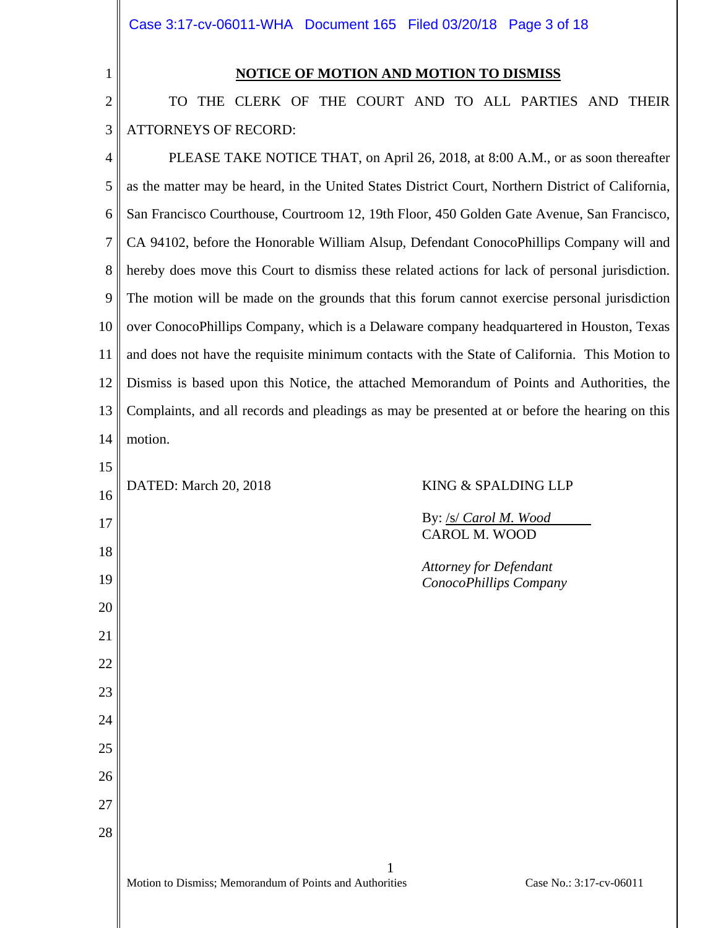Case 3:17-cv-06011-WHA Document 165 Filed 03/20/18 Page 3 of 18

### **NOTICE OF MOTION AND MOTION TO DISMISS**

2 3 TO THE CLERK OF THE COURT AND TO ALL PARTIES AND THEIR ATTORNEYS OF RECORD:

4 5 6 7 8 9 10 11 12 13 14 15 16 17 18 19 20 21 22 23 24 25 26 27 28 PLEASE TAKE NOTICE THAT, on April 26, 2018, at 8:00 A.M., or as soon thereafter as the matter may be heard, in the United States District Court, Northern District of California, San Francisco Courthouse, Courtroom 12, 19th Floor, 450 Golden Gate Avenue, San Francisco, CA 94102, before the Honorable William Alsup, Defendant ConocoPhillips Company will and hereby does move this Court to dismiss these related actions for lack of personal jurisdiction. The motion will be made on the grounds that this forum cannot exercise personal jurisdiction over ConocoPhillips Company, which is a Delaware company headquartered in Houston, Texas and does not have the requisite minimum contacts with the State of California. This Motion to Dismiss is based upon this Notice, the attached Memorandum of Points and Authorities, the Complaints, and all records and pleadings as may be presented at or before the hearing on this motion. DATED: March 20, 2018 KING & SPALDING LLP By: /s/ *Carol M. Wood* CAROL M. WOOD *Attorney for Defendant ConocoPhillips Company*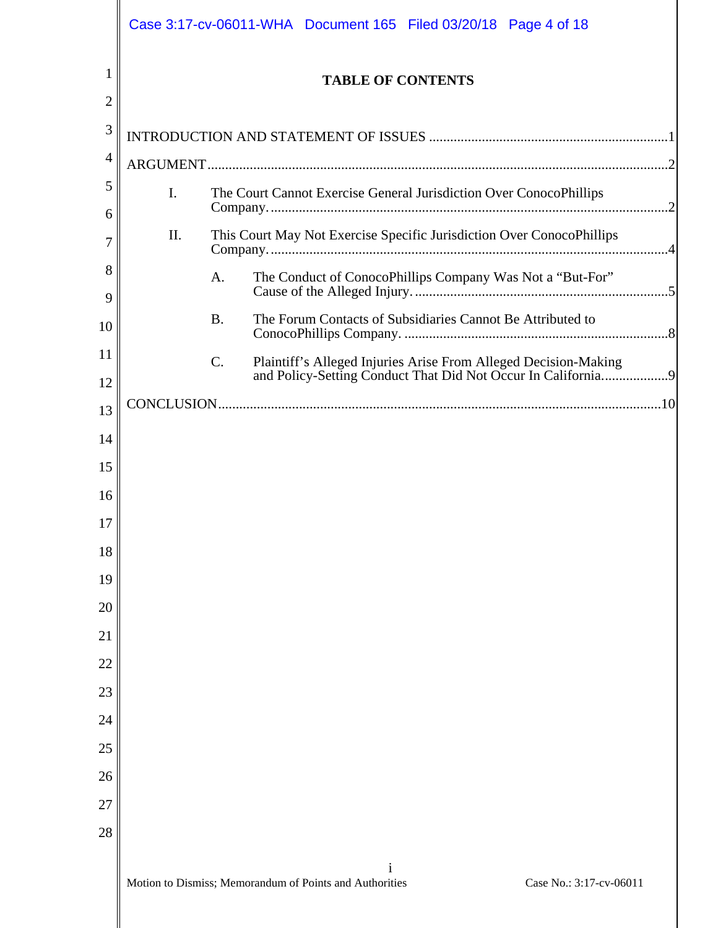|          |                | Case 3:17-cv-06011-WHA  Document 165  Filed 03/20/18  Page 4 of 18 |                                                                                                                                 |
|----------|----------------|--------------------------------------------------------------------|---------------------------------------------------------------------------------------------------------------------------------|
|          |                | <b>TABLE OF CONTENTS</b>                                           |                                                                                                                                 |
| 2        |                |                                                                    |                                                                                                                                 |
| 3        |                |                                                                    |                                                                                                                                 |
| 4        |                |                                                                    |                                                                                                                                 |
| 5<br>6   | $\mathbf{I}$ . | The Court Cannot Exercise General Jurisdiction Over ConocoPhillips |                                                                                                                                 |
|          | II.            |                                                                    | This Court May Not Exercise Specific Jurisdiction Over ConocoPhillips                                                           |
| 8<br>9   |                | A.                                                                 | The Conduct of ConocoPhillips Company Was Not a "But-For"                                                                       |
| 10       |                | <b>B.</b>                                                          | The Forum Contacts of Subsidiaries Cannot Be Attributed to                                                                      |
| 11<br>12 |                | $C$ .                                                              | Plaintiff's Alleged Injuries Arise From Alleged Decision-Making<br>and Policy-Setting Conduct That Did Not Occur In California9 |
| 13       |                |                                                                    |                                                                                                                                 |
| 14       |                |                                                                    |                                                                                                                                 |
| 15       |                |                                                                    |                                                                                                                                 |
| 16       |                |                                                                    |                                                                                                                                 |
| 17       |                |                                                                    |                                                                                                                                 |
| 18       |                |                                                                    |                                                                                                                                 |
| 19       |                |                                                                    |                                                                                                                                 |
| 20       |                |                                                                    |                                                                                                                                 |
| 21       |                |                                                                    |                                                                                                                                 |
| 22       |                |                                                                    |                                                                                                                                 |
| 23       |                |                                                                    |                                                                                                                                 |
| 24       |                |                                                                    |                                                                                                                                 |
| 25       |                |                                                                    |                                                                                                                                 |
| 26       |                |                                                                    |                                                                                                                                 |
| 27       |                |                                                                    |                                                                                                                                 |
| 28       |                |                                                                    |                                                                                                                                 |
|          |                |                                                                    |                                                                                                                                 |
|          |                | Motion to Dismiss; Memorandum of Points and Authorities            | Case No.: 3:17-cv-06011                                                                                                         |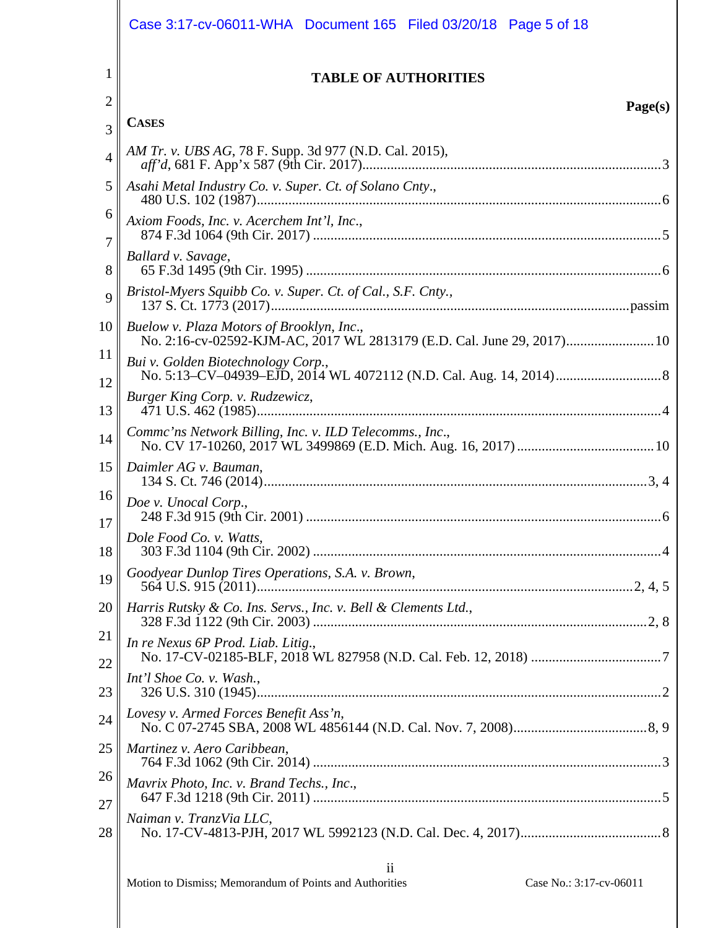|                | Case 3:17-cv-06011-WHA  Document 165  Filed 03/20/18  Page 5 of 18 |
|----------------|--------------------------------------------------------------------|
| 1              | <b>TABLE OF AUTHORITIES</b>                                        |
| $\overline{2}$ | Page(s)                                                            |
| 3              | <b>CASES</b>                                                       |
| $\overline{4}$ | <i>AM Tr. v. UBS AG, 78 F. Supp. 3d 977 (N.D. Cal. 2015),</i>      |
| 5              | Asahi Metal Industry Co. v. Super. Ct. of Solano Cnty.,            |
| 6<br>7         | Axiom Foods, Inc. v. Acerchem Int'l, Inc.,                         |
| 8              | Ballard v. Savage,                                                 |
| 9              | Bristol-Myers Squibb Co. v. Super. Ct. of Cal., S.F. Cnty.,        |
| 10             | Buelow v. Plaza Motors of Brooklyn, Inc.,                          |
| 11<br>12       | Bui v. Golden Biotechnology Corp.,                                 |
| 13             | Burger King Corp. v. Rudzewicz,                                    |
| 14             | Comme'ns Network Billing, Inc. v. ILD Telecomms., Inc.,            |
| 15             | Daimler AG v. Bauman,                                              |
| 16             | Doe v. Unocal Corp.,                                               |
| 17<br>18       | Dole Food Co. v. Watts,                                            |
| 19             | Goodyear Dunlop Tires Operations, S.A. v. Brown,                   |
| 20             | Harris Rutsky & Co. Ins. Servs., Inc. v. Bell & Clements Ltd.,     |
| 21             | In re Nexus 6P Prod. Liab. Litig.,                                 |
| 22<br>23       | Int'l Shoe Co. v. Wash.,                                           |
| 24             | Lovesy v. Armed Forces Benefit Ass'n,                              |
| 25             | Martinez v. Aero Caribbean,                                        |
| 26             | Mavrix Photo, Inc. v. Brand Techs., Inc.,                          |
| 27             | Naiman v. TranzVia LLC,                                            |
| 28             |                                                                    |
|                | $\ddot{\mathbf{i}}$                                                |

II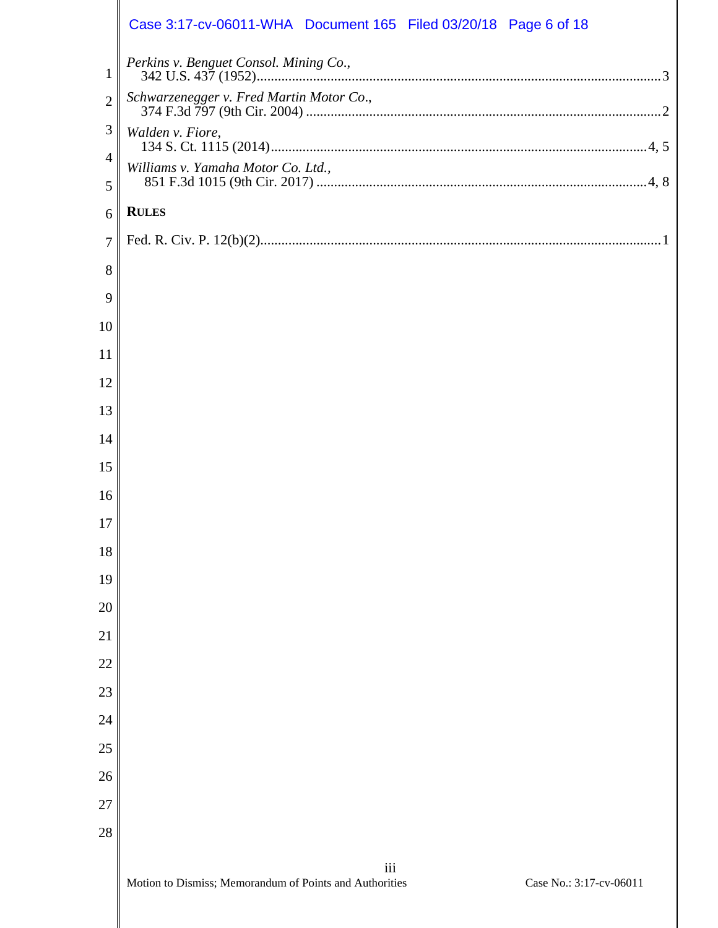|                | Case 3:17-cv-06011-WHA  Document 165  Filed 03/20/18  Page 6 of 18                        |
|----------------|-------------------------------------------------------------------------------------------|
| $\mathbf{1}$   | Perkins v. Benguet Consol. Mining Co.,                                                    |
| $\overline{2}$ | Schwarzenegger v. Fred Martin Motor Co.,                                                  |
| 3              | Walden v. Fiore,                                                                          |
| $\overline{4}$ | Williams v. Yamaha Motor Co. Ltd.,                                                        |
| 5              |                                                                                           |
| 6              | <b>RULES</b>                                                                              |
| $\tau$         |                                                                                           |
| 8              |                                                                                           |
| 9              |                                                                                           |
| 10             |                                                                                           |
| 11             |                                                                                           |
| 12             |                                                                                           |
| 13             |                                                                                           |
| 14             |                                                                                           |
| 15             |                                                                                           |
| 16             |                                                                                           |
| 17             |                                                                                           |
| 18             |                                                                                           |
| 19             |                                                                                           |
| 20             |                                                                                           |
| 21             |                                                                                           |
| 22             |                                                                                           |
| 23             |                                                                                           |
| 24             |                                                                                           |
| 25             |                                                                                           |
| 26             |                                                                                           |
| 27             |                                                                                           |
| 28             |                                                                                           |
|                | iii<br>Motion to Dismiss; Memorandum of Points and Authorities<br>Case No.: 3:17-cv-06011 |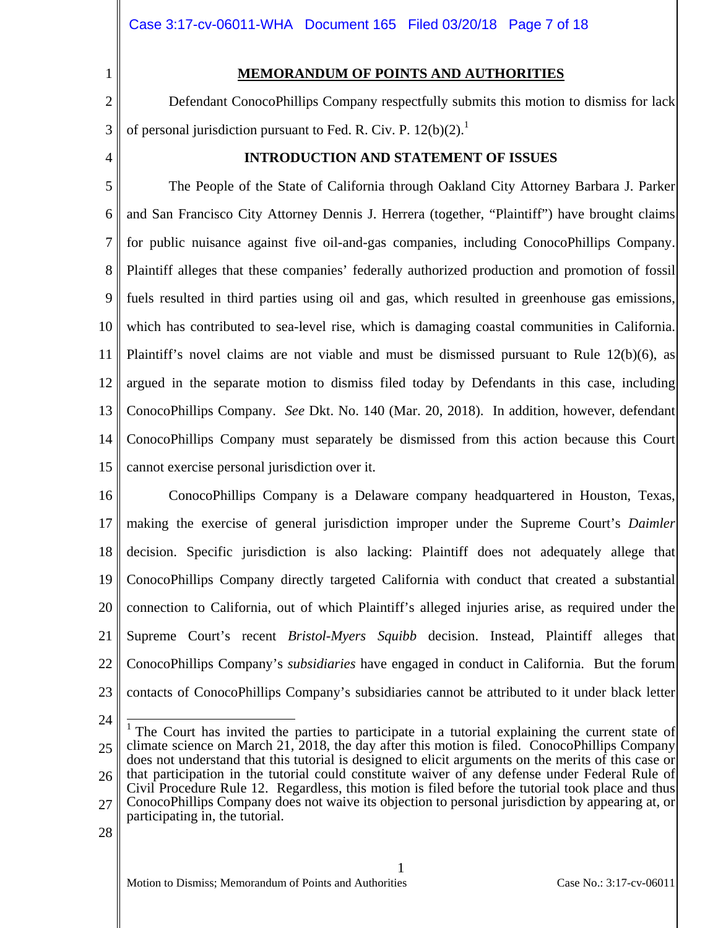#### **MEMORANDUM OF POINTS AND AUTHORITIES**

2 3 Defendant ConocoPhillips Company respectfully submits this motion to dismiss for lack of personal jurisdiction pursuant to Fed. R. Civ. P.  $12(b)(2)^{11}$ .

4

1

#### **INTRODUCTION AND STATEMENT OF ISSUES**

5 6 7 8 9 10 11 12 13 14 15 The People of the State of California through Oakland City Attorney Barbara J. Parker and San Francisco City Attorney Dennis J. Herrera (together, "Plaintiff") have brought claims for public nuisance against five oil-and-gas companies, including ConocoPhillips Company. Plaintiff alleges that these companies' federally authorized production and promotion of fossil fuels resulted in third parties using oil and gas, which resulted in greenhouse gas emissions, which has contributed to sea-level rise, which is damaging coastal communities in California. Plaintiff's novel claims are not viable and must be dismissed pursuant to Rule 12(b)(6), as argued in the separate motion to dismiss filed today by Defendants in this case, including ConocoPhillips Company. *See* Dkt. No. 140 (Mar. 20, 2018). In addition, however, defendant ConocoPhillips Company must separately be dismissed from this action because this Court cannot exercise personal jurisdiction over it.

16 17 18 19 20 21 22 23 ConocoPhillips Company is a Delaware company headquartered in Houston, Texas, making the exercise of general jurisdiction improper under the Supreme Court's *Daimler* decision. Specific jurisdiction is also lacking: Plaintiff does not adequately allege that ConocoPhillips Company directly targeted California with conduct that created a substantial connection to California, out of which Plaintiff's alleged injuries arise, as required under the Supreme Court's recent *Bristol-Myers Squibb* decision. Instead, Plaintiff alleges that ConocoPhillips Company's *subsidiaries* have engaged in conduct in California. But the forum contacts of ConocoPhillips Company's subsidiaries cannot be attributed to it under black letter

24

25 26 <sup>1</sup> The Court has invited the parties to participate in a tutorial explaining the current state of climate science on March 21, 2018, the day after this motion is filed. ConocoPhillips Company does not understand that this tutorial is designed to elicit arguments on the merits of this case or that participation in the tutorial could constitute waiver of any defense under Federal Rule of Civil Procedure Rule 12. Regardless, this motion is filed before the tutorial took place and thus

27 ConocoPhillips Company does not waive its objection to personal jurisdiction by appearing at, or participating in, the tutorial.

1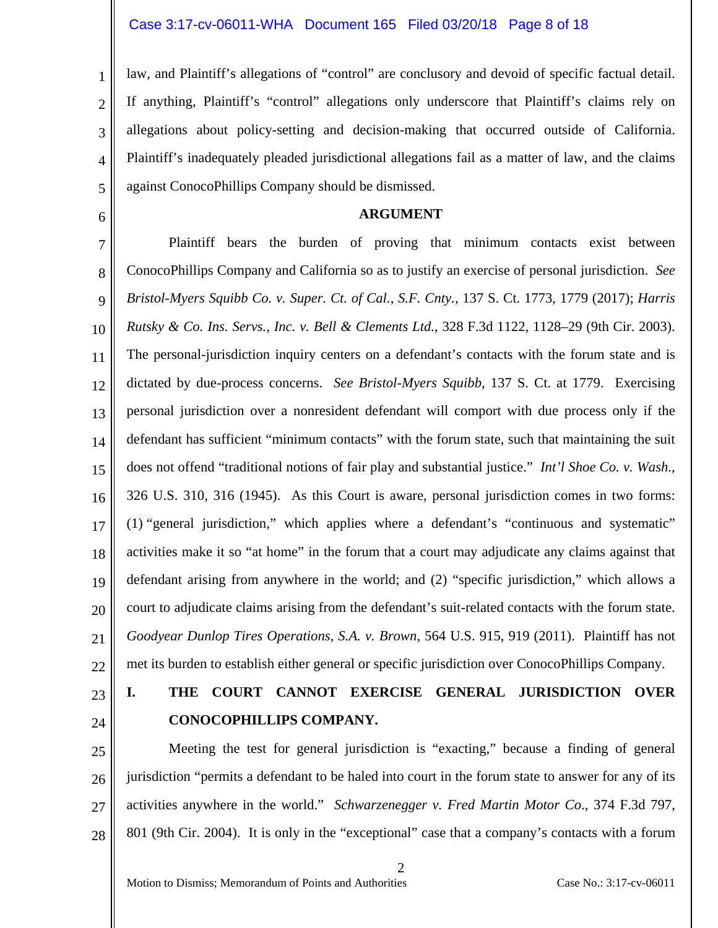4 law, and Plaintiff's allegations of "control" are conclusory and devoid of specific factual detail. If anything, Plaintiff's "control" allegations only underscore that Plaintiff's claims rely on allegations about policy-setting and decision-making that occurred outside of California. Plaintiff's inadequately pleaded jurisdictional allegations fail as a matter of law, and the claims against ConocoPhillips Company should be dismissed.

6

5

1

2

3

#### **ARGUMENT**

7 8 9 10 11 12 13 14 15 16 17 18 19 20 21 22 Plaintiff bears the burden of proving that minimum contacts exist between ConocoPhillips Company and California so as to justify an exercise of personal jurisdiction. *See Bristol-Myers Squibb Co. v. Super. Ct. of Cal., S.F. Cnty.,* 137 S. Ct. 1773, 1779 (2017); *Harris Rutsky & Co. Ins. Servs., Inc. v. Bell & Clements Ltd.*, 328 F.3d 1122, 1128–29 (9th Cir. 2003). The personal-jurisdiction inquiry centers on a defendant's contacts with the forum state and is dictated by due-process concerns. *See Bristol-Myers Squibb*, 137 S. Ct. at 1779. Exercising personal jurisdiction over a nonresident defendant will comport with due process only if the defendant has sufficient "minimum contacts" with the forum state, such that maintaining the suit does not offend "traditional notions of fair play and substantial justice." *Int'l Shoe Co. v. Wash.*, 326 U.S. 310, 316 (1945). As this Court is aware, personal jurisdiction comes in two forms: (1) "general jurisdiction," which applies where a defendant's "continuous and systematic" activities make it so "at home" in the forum that a court may adjudicate any claims against that defendant arising from anywhere in the world; and (2) "specific jurisdiction," which allows a court to adjudicate claims arising from the defendant's suit-related contacts with the forum state. *Goodyear Dunlop Tires Operations, S.A. v. Brown*, 564 U.S. 915, 919 (2011). Plaintiff has not met its burden to establish either general or specific jurisdiction over ConocoPhillips Company.

23 24

# **I. THE COURT CANNOT EXERCISE GENERAL JURISDICTION OVER CONOCOPHILLIPS COMPANY.**

25 26 27 28 Meeting the test for general jurisdiction is "exacting," because a finding of general jurisdiction "permits a defendant to be haled into court in the forum state to answer for any of its activities anywhere in the world." *Schwarzenegger v. Fred Martin Motor Co*., 374 F.3d 797, 801 (9th Cir. 2004). It is only in the "exceptional" case that a company's contacts with a forum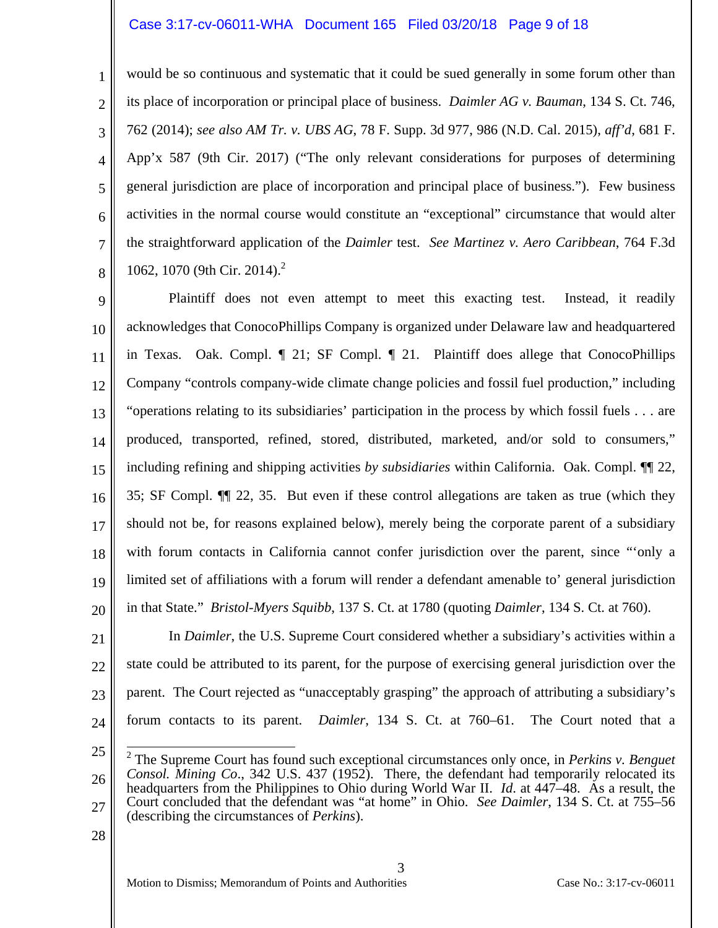#### Case 3:17-cv-06011-WHA Document 165 Filed 03/20/18 Page 9 of 18

1 2 3 4 5 6 7 8 would be so continuous and systematic that it could be sued generally in some forum other than its place of incorporation or principal place of business. *Daimler AG v. Bauman*, 134 S. Ct. 746, 762 (2014); *see also AM Tr. v. UBS AG*, 78 F. Supp. 3d 977, 986 (N.D. Cal. 2015), *aff'd*, 681 F. App'x 587 (9th Cir. 2017) ("The only relevant considerations for purposes of determining general jurisdiction are place of incorporation and principal place of business."). Few business activities in the normal course would constitute an "exceptional" circumstance that would alter the straightforward application of the *Daimler* test. *See Martinez v. Aero Caribbean*, 764 F.3d 1062, 1070 (9th Cir. 2014).<sup>2</sup>

9 10 11 12 13 14 15 16 17 18 19 20 Plaintiff does not even attempt to meet this exacting test. Instead, it readily acknowledges that ConocoPhillips Company is organized under Delaware law and headquartered in Texas. Oak. Compl. ¶ 21; SF Compl. ¶ 21. Plaintiff does allege that ConocoPhillips Company "controls company-wide climate change policies and fossil fuel production," including "operations relating to its subsidiaries' participation in the process by which fossil fuels . . . are produced, transported, refined, stored, distributed, marketed, and/or sold to consumers," including refining and shipping activities *by subsidiaries* within California. Oak. Compl. ¶¶ 22, 35; SF Compl. ¶¶ 22, 35. But even if these control allegations are taken as true (which they should not be, for reasons explained below), merely being the corporate parent of a subsidiary with forum contacts in California cannot confer jurisdiction over the parent, since "'only a limited set of affiliations with a forum will render a defendant amenable to' general jurisdiction in that State." *Bristol-Myers Squibb*, 137 S. Ct. at 1780 (quoting *Daimler*, 134 S. Ct. at 760).

21 22 23 24 In *Daimler*, the U.S. Supreme Court considered whether a subsidiary's activities within a state could be attributed to its parent, for the purpose of exercising general jurisdiction over the parent. The Court rejected as "unacceptably grasping" the approach of attributing a subsidiary's forum contacts to its parent. *Daimler*, 134 S. Ct. at 760–61. The Court noted that a

25

3

<sup>26</sup> 27 2 The Supreme Court has found such exceptional circumstances only once, in *Perkins v. Benguet Consol. Mining Co*., 342 U.S. 437 (1952). There, the defendant had temporarily relocated its headquarters from the Philippines to Ohio during World War II. *Id*. at 447–48. As a result, the Court concluded that the defendant was "at home" in Ohio. *See Daimler*, 134 S. Ct. at 755–56 (describing the circumstances of *Perkins*).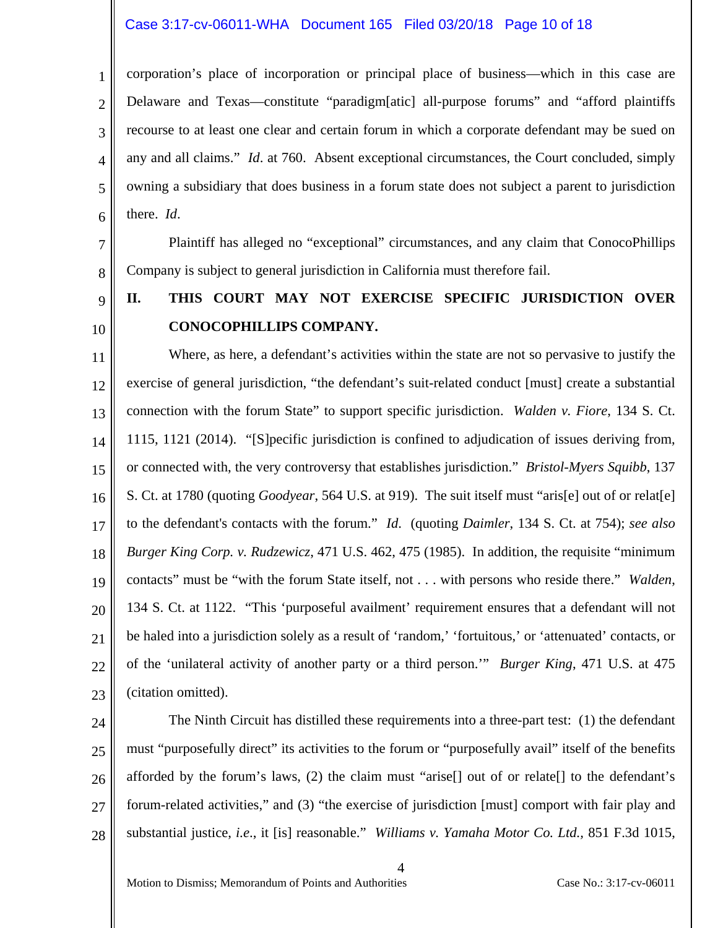#### Case 3:17-cv-06011-WHA Document 165 Filed 03/20/18 Page 10 of 18

1 2 3 4 5 6 corporation's place of incorporation or principal place of business—which in this case are Delaware and Texas—constitute "paradigm[atic] all-purpose forums" and "afford plaintiffs recourse to at least one clear and certain forum in which a corporate defendant may be sued on any and all claims." *Id*. at 760. Absent exceptional circumstances, the Court concluded, simply owning a subsidiary that does business in a forum state does not subject a parent to jurisdiction there. *Id*.

7 8 Plaintiff has alleged no "exceptional" circumstances, and any claim that ConocoPhillips Company is subject to general jurisdiction in California must therefore fail.

# **II. THIS COURT MAY NOT EXERCISE SPECIFIC JURISDICTION OVER CONOCOPHILLIPS COMPANY.**

11 12 13 14 15 16 17 18 19 20 21 22 23 Where, as here, a defendant's activities within the state are not so pervasive to justify the exercise of general jurisdiction, "the defendant's suit-related conduct [must] create a substantial connection with the forum State" to support specific jurisdiction. *Walden v. Fiore*, 134 S. Ct. 1115, 1121 (2014). "[S]pecific jurisdiction is confined to adjudication of issues deriving from, or connected with, the very controversy that establishes jurisdiction." *Bristol-Myers Squibb*, 137 S. Ct. at 1780 (quoting *Goodyear*, 564 U.S. at 919). The suit itself must "aris[e] out of or relat[e] to the defendant's contacts with the forum." *Id*. (quoting *Daimler*, 134 S. Ct. at 754); *see also Burger King Corp. v. Rudzewicz*, 471 U.S. 462, 475 (1985). In addition, the requisite "minimum contacts" must be "with the forum State itself, not . . . with persons who reside there." *Walden*, 134 S. Ct. at 1122. "This 'purposeful availment' requirement ensures that a defendant will not be haled into a jurisdiction solely as a result of 'random,' 'fortuitous,' or 'attenuated' contacts, or of the 'unilateral activity of another party or a third person.'" *Burger King*, 471 U.S. at 475 (citation omitted).

#### 24 25 26 27 28 The Ninth Circuit has distilled these requirements into a three-part test: (1) the defendant must "purposefully direct" its activities to the forum or "purposefully avail" itself of the benefits afforded by the forum's laws, (2) the claim must "arise[] out of or relate[] to the defendant's forum-related activities," and (3) "the exercise of jurisdiction [must] comport with fair play and substantial justice, *i.e*., it [is] reasonable." *Williams v. Yamaha Motor Co. Ltd.,* 851 F.3d 1015,

Motion to Dismiss; Memorandum of Points and Authorities Case No.: 3:17-cv-06011

9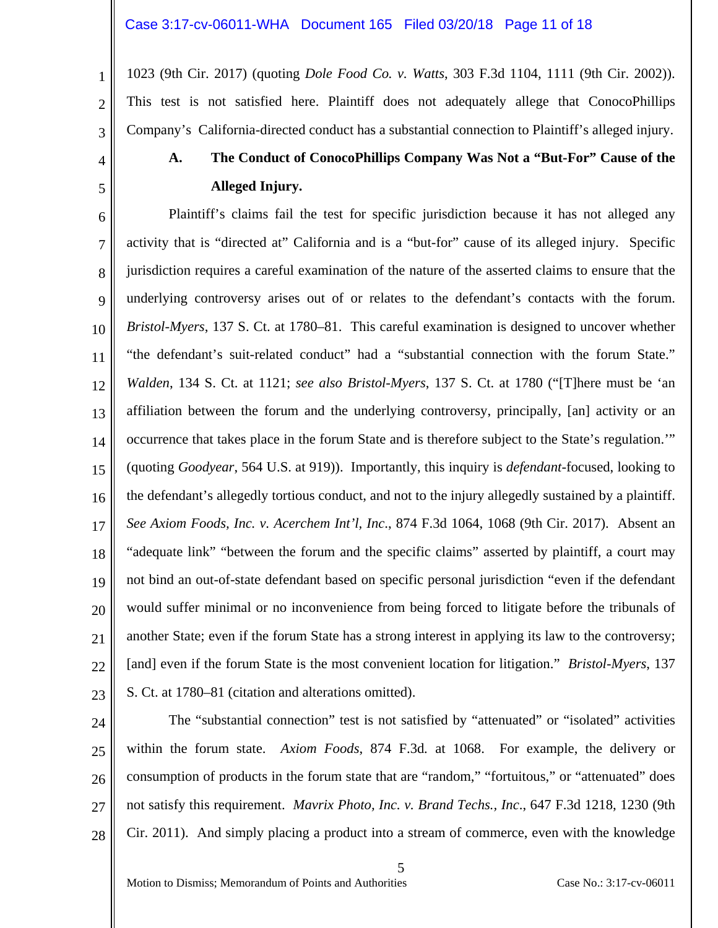1023 (9th Cir. 2017) (quoting *Dole Food Co. v. Watts*, 303 F.3d 1104, 1111 (9th Cir. 2002)). This test is not satisfied here. Plaintiff does not adequately allege that ConocoPhillips Company's California-directed conduct has a substantial connection to Plaintiff's alleged injury.

# 4

5

1

2

3

# **A. The Conduct of ConocoPhillips Company Was Not a "But-For" Cause of the Alleged Injury.**

6 7 8 9 10 11 12 13 14 15 16 17 18 19 20 21 22 23 Plaintiff's claims fail the test for specific jurisdiction because it has not alleged any activity that is "directed at" California and is a "but-for" cause of its alleged injury. Specific jurisdiction requires a careful examination of the nature of the asserted claims to ensure that the underlying controversy arises out of or relates to the defendant's contacts with the forum. *Bristol-Myers*, 137 S. Ct. at 1780–81. This careful examination is designed to uncover whether "the defendant's suit-related conduct" had a "substantial connection with the forum State." *Walden*, 134 S. Ct. at 1121; *see also Bristol-Myers*, 137 S. Ct. at 1780 ("[T]here must be 'an affiliation between the forum and the underlying controversy, principally, [an] activity or an occurrence that takes place in the forum State and is therefore subject to the State's regulation.'" (quoting *Goodyear*, 564 U.S. at 919)). Importantly, this inquiry is *defendant*-focused, looking to the defendant's allegedly tortious conduct, and not to the injury allegedly sustained by a plaintiff. *See Axiom Foods, Inc. v. Acerchem Int'l, Inc*., 874 F.3d 1064, 1068 (9th Cir. 2017). Absent an "adequate link" "between the forum and the specific claims" asserted by plaintiff, a court may not bind an out-of-state defendant based on specific personal jurisdiction "even if the defendant would suffer minimal or no inconvenience from being forced to litigate before the tribunals of another State; even if the forum State has a strong interest in applying its law to the controversy; [and] even if the forum State is the most convenient location for litigation." *Bristol-Myers*, 137 S. Ct. at 1780–81 (citation and alterations omitted).

24

25 26 27 28 The "substantial connection" test is not satisfied by "attenuated" or "isolated" activities within the forum state. *Axiom Foods*, 874 F.3d*.* at 1068. For example, the delivery or consumption of products in the forum state that are "random," "fortuitous," or "attenuated" does not satisfy this requirement. *Mavrix Photo, Inc. v. Brand Techs., Inc*., 647 F.3d 1218, 1230 (9th Cir. 2011). And simply placing a product into a stream of commerce, even with the knowledge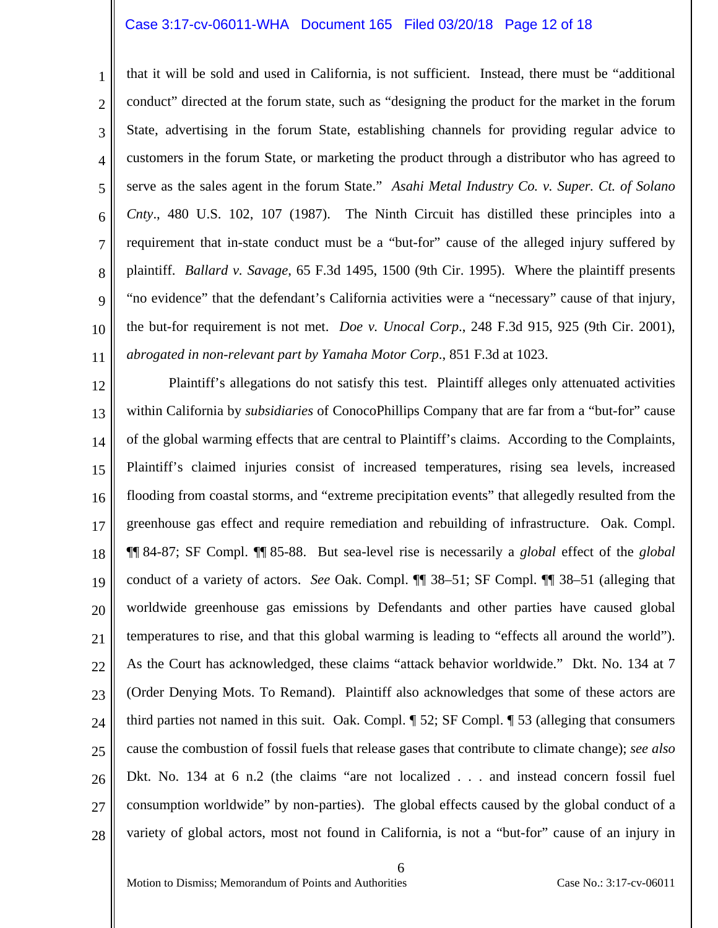#### Case 3:17-cv-06011-WHA Document 165 Filed 03/20/18 Page 12 of 18

1 2 3 4 5 6 7 8 9 10 11 that it will be sold and used in California, is not sufficient. Instead, there must be "additional conduct" directed at the forum state, such as "designing the product for the market in the forum State, advertising in the forum State, establishing channels for providing regular advice to customers in the forum State, or marketing the product through a distributor who has agreed to serve as the sales agent in the forum State." *Asahi Metal Industry Co. v. Super. Ct. of Solano Cnty*., 480 U.S. 102, 107 (1987). The Ninth Circuit has distilled these principles into a requirement that in-state conduct must be a "but-for" cause of the alleged injury suffered by plaintiff. *Ballard v. Savage*, 65 F.3d 1495, 1500 (9th Cir. 1995). Where the plaintiff presents "no evidence" that the defendant's California activities were a "necessary" cause of that injury, the but-for requirement is not met. *Doe v. Unocal Corp*., 248 F.3d 915, 925 (9th Cir. 2001), *abrogated in non-relevant part by Yamaha Motor Corp*., 851 F.3d at 1023.

12 13 14 15 16 17 18 19 20 21 22 23 24 25 26 27 28 Plaintiff's allegations do not satisfy this test. Plaintiff alleges only attenuated activities within California by *subsidiaries* of ConocoPhillips Company that are far from a "but-for" cause of the global warming effects that are central to Plaintiff's claims. According to the Complaints, Plaintiff's claimed injuries consist of increased temperatures, rising sea levels, increased flooding from coastal storms, and "extreme precipitation events" that allegedly resulted from the greenhouse gas effect and require remediation and rebuilding of infrastructure. Oak. Compl. ¶¶ 84-87; SF Compl. ¶¶ 85-88. But sea-level rise is necessarily a *global* effect of the *global* conduct of a variety of actors. *See* Oak. Compl. ¶¶ 38–51; SF Compl. ¶¶ 38–51 (alleging that worldwide greenhouse gas emissions by Defendants and other parties have caused global temperatures to rise, and that this global warming is leading to "effects all around the world"). As the Court has acknowledged, these claims "attack behavior worldwide." Dkt. No. 134 at 7 (Order Denying Mots. To Remand). Plaintiff also acknowledges that some of these actors are third parties not named in this suit. Oak. Compl. ¶ 52; SF Compl. ¶ 53 (alleging that consumers cause the combustion of fossil fuels that release gases that contribute to climate change); *see also* Dkt. No. 134 at 6 n.2 (the claims "are not localized . . . and instead concern fossil fuel consumption worldwide" by non-parties). The global effects caused by the global conduct of a variety of global actors, most not found in California, is not a "but-for" cause of an injury in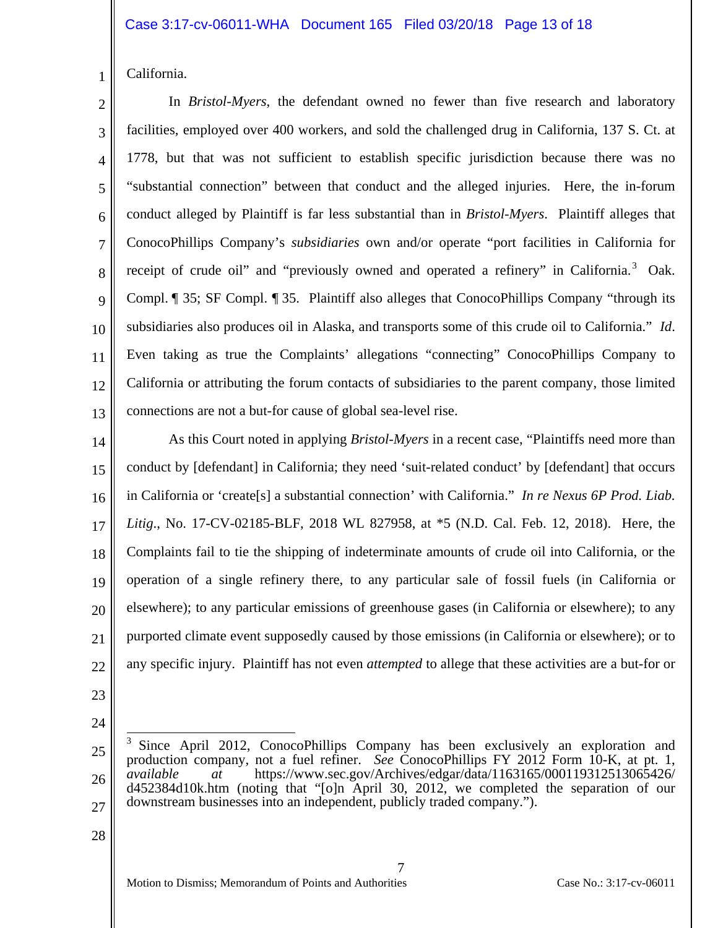California.

1

2 3 4 5 6 7 8 9 10 11 12 13 In *Bristol-Myers*, the defendant owned no fewer than five research and laboratory facilities, employed over 400 workers, and sold the challenged drug in California, 137 S. Ct. at 1778, but that was not sufficient to establish specific jurisdiction because there was no "substantial connection" between that conduct and the alleged injuries. Here, the in-forum conduct alleged by Plaintiff is far less substantial than in *Bristol-Myers*. Plaintiff alleges that ConocoPhillips Company's *subsidiaries* own and/or operate "port facilities in California for receipt of crude oil" and "previously owned and operated a refinery" in California.<sup>3</sup> Oak. Compl. ¶ 35; SF Compl. ¶ 35. Plaintiff also alleges that ConocoPhillips Company "through its subsidiaries also produces oil in Alaska, and transports some of this crude oil to California." *Id*. Even taking as true the Complaints' allegations "connecting" ConocoPhillips Company to California or attributing the forum contacts of subsidiaries to the parent company, those limited connections are not a but-for cause of global sea-level rise.

14 15 16 17 18 19 20 21 22 As this Court noted in applying *Bristol-Myers* in a recent case, "Plaintiffs need more than conduct by [defendant] in California; they need 'suit-related conduct' by [defendant] that occurs in California or 'create[s] a substantial connection' with California." *In re Nexus 6P Prod. Liab. Litig*., No. 17-CV-02185-BLF, 2018 WL 827958, at \*5 (N.D. Cal. Feb. 12, 2018). Here, the Complaints fail to tie the shipping of indeterminate amounts of crude oil into California, or the operation of a single refinery there, to any particular sale of fossil fuels (in California or elsewhere); to any particular emissions of greenhouse gases (in California or elsewhere); to any purported climate event supposedly caused by those emissions (in California or elsewhere); or to any specific injury. Plaintiff has not even *attempted* to allege that these activities are a but-for or

- 23
- 24

7

<sup>25</sup> 26 27  $\frac{1}{2}$ 3 Since April 2012, ConocoPhillips Company has been exclusively an exploration and production company, not a fuel refiner. *See* ConocoPhillips FY 2012 Form 10-K, at pt. 1, *available at* https://www.sec.gov/Archives/edgar/data/1163165/000119312513065426/ d452384d10k.htm (noting that "[o]n April 30, 2012, we completed the separation of our downstream businesses into an independent, publicly traded company.").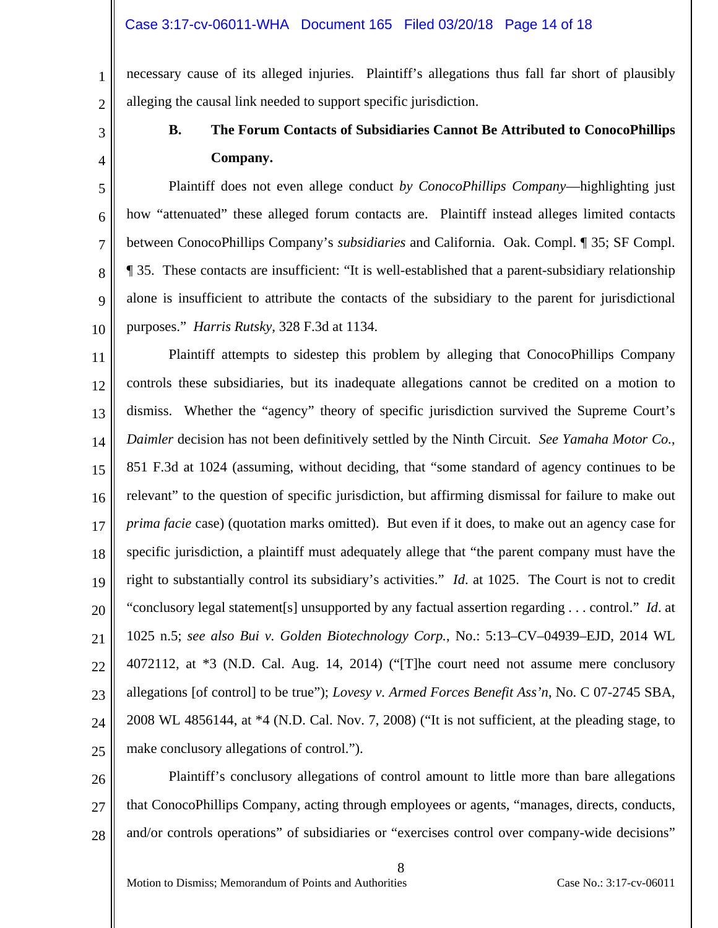necessary cause of its alleged injuries. Plaintiff's allegations thus fall far short of plausibly alleging the causal link needed to support specific jurisdiction.

3

4

1

2

# **B. The Forum Contacts of Subsidiaries Cannot Be Attributed to ConocoPhillips Company.**

5 6 7 8 9 10 Plaintiff does not even allege conduct *by ConocoPhillips Company*—highlighting just how "attenuated" these alleged forum contacts are. Plaintiff instead alleges limited contacts between ConocoPhillips Company's *subsidiaries* and California. Oak. Compl. ¶ 35; SF Compl. ¶ 35. These contacts are insufficient: "It is well-established that a parent-subsidiary relationship alone is insufficient to attribute the contacts of the subsidiary to the parent for jurisdictional purposes." *Harris Rutsky*, 328 F.3d at 1134.

11 12 13 14 15 16 17 18 19 20 21 22 23 24 25 Plaintiff attempts to sidestep this problem by alleging that ConocoPhillips Company controls these subsidiaries, but its inadequate allegations cannot be credited on a motion to dismiss. Whether the "agency" theory of specific jurisdiction survived the Supreme Court's *Daimler* decision has not been definitively settled by the Ninth Circuit. *See Yamaha Motor Co.*, 851 F.3d at 1024 (assuming, without deciding, that "some standard of agency continues to be relevant" to the question of specific jurisdiction, but affirming dismissal for failure to make out *prima facie* case) (quotation marks omitted). But even if it does, to make out an agency case for specific jurisdiction, a plaintiff must adequately allege that "the parent company must have the right to substantially control its subsidiary's activities." *Id*. at 1025. The Court is not to credit "conclusory legal statement[s] unsupported by any factual assertion regarding . . . control." *Id*. at 1025 n.5; *see also Bui v. Golden Biotechnology Corp.*, No.: 5:13–CV–04939–EJD, 2014 WL 4072112, at \*3 (N.D. Cal. Aug. 14, 2014) ("[T]he court need not assume mere conclusory allegations [of control] to be true"); *Lovesy v. Armed Forces Benefit Ass'n*, No. C 07-2745 SBA, 2008 WL 4856144, at \*4 (N.D. Cal. Nov. 7, 2008) ("It is not sufficient, at the pleading stage, to make conclusory allegations of control.").

26 27 28 Plaintiff's conclusory allegations of control amount to little more than bare allegations that ConocoPhillips Company, acting through employees or agents, "manages, directs, conducts, and/or controls operations" of subsidiaries or "exercises control over company-wide decisions"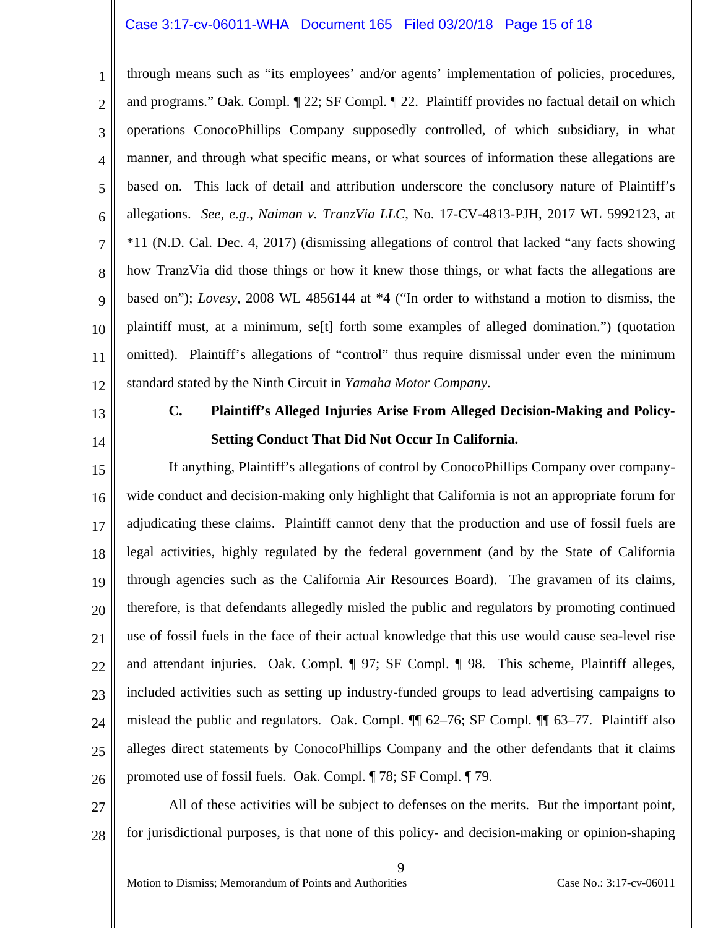#### Case 3:17-cv-06011-WHA Document 165 Filed 03/20/18 Page 15 of 18

1 2 3 4 5 6 7 8 9 10 11 12 through means such as "its employees' and/or agents' implementation of policies, procedures, and programs." Oak. Compl. ¶ 22; SF Compl. ¶ 22. Plaintiff provides no factual detail on which operations ConocoPhillips Company supposedly controlled, of which subsidiary, in what manner, and through what specific means, or what sources of information these allegations are based on. This lack of detail and attribution underscore the conclusory nature of Plaintiff's allegations. *See, e.g*., *Naiman v. TranzVia LLC*, No. 17-CV-4813-PJH, 2017 WL 5992123, at \*11 (N.D. Cal. Dec. 4, 2017) (dismissing allegations of control that lacked "any facts showing how TranzVia did those things or how it knew those things, or what facts the allegations are based on"); *Lovesy*, 2008 WL 4856144 at \*4 ("In order to withstand a motion to dismiss, the plaintiff must, at a minimum, se[t] forth some examples of alleged domination.") (quotation omitted). Plaintiff's allegations of "control" thus require dismissal under even the minimum standard stated by the Ninth Circuit in *Yamaha Motor Company*.

13

14

### **C. Plaintiff's Alleged Injuries Arise From Alleged Decision-Making and Policy-Setting Conduct That Did Not Occur In California.**

15 16 17 18 19 20 21 22 23 24 25 26 If anything, Plaintiff's allegations of control by ConocoPhillips Company over companywide conduct and decision-making only highlight that California is not an appropriate forum for adjudicating these claims. Plaintiff cannot deny that the production and use of fossil fuels are legal activities, highly regulated by the federal government (and by the State of California through agencies such as the California Air Resources Board). The gravamen of its claims, therefore, is that defendants allegedly misled the public and regulators by promoting continued use of fossil fuels in the face of their actual knowledge that this use would cause sea-level rise and attendant injuries. Oak. Compl. ¶ 97; SF Compl. ¶ 98. This scheme, Plaintiff alleges, included activities such as setting up industry-funded groups to lead advertising campaigns to mislead the public and regulators. Oak. Compl. ¶¶ 62–76; SF Compl. ¶¶ 63–77. Plaintiff also alleges direct statements by ConocoPhillips Company and the other defendants that it claims promoted use of fossil fuels. Oak. Compl. ¶ 78; SF Compl. ¶ 79.

27 28 All of these activities will be subject to defenses on the merits. But the important point, for jurisdictional purposes, is that none of this policy- and decision-making or opinion-shaping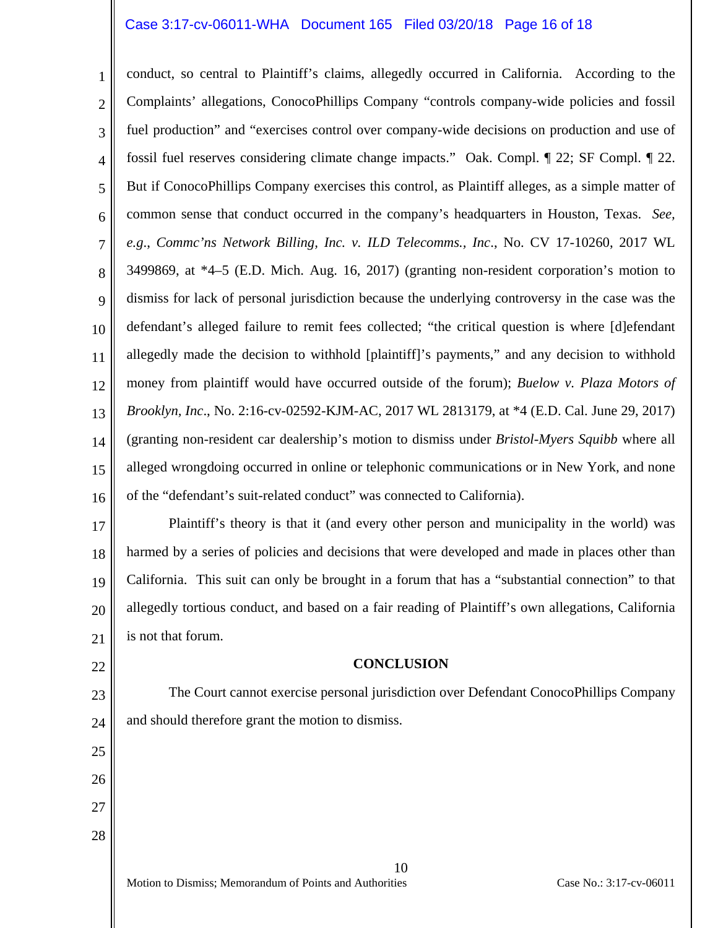#### Case 3:17-cv-06011-WHA Document 165 Filed 03/20/18 Page 16 of 18

1 2 3 4 5 6 7 8 9 10 11 12 13 14 15 16 conduct, so central to Plaintiff's claims, allegedly occurred in California. According to the Complaints' allegations, ConocoPhillips Company "controls company-wide policies and fossil fuel production" and "exercises control over company-wide decisions on production and use of fossil fuel reserves considering climate change impacts." Oak. Compl. ¶ 22; SF Compl. ¶ 22. But if ConocoPhillips Company exercises this control, as Plaintiff alleges, as a simple matter of common sense that conduct occurred in the company's headquarters in Houston, Texas. *See, e.g*., *Commc'ns Network Billing, Inc. v. ILD Telecomms., Inc*., No. CV 17-10260, 2017 WL 3499869, at \*4–5 (E.D. Mich. Aug. 16, 2017) (granting non-resident corporation's motion to dismiss for lack of personal jurisdiction because the underlying controversy in the case was the defendant's alleged failure to remit fees collected; "the critical question is where [d]efendant allegedly made the decision to withhold [plaintiff]'s payments," and any decision to withhold money from plaintiff would have occurred outside of the forum); *Buelow v. Plaza Motors of Brooklyn, Inc*., No. 2:16-cv-02592-KJM-AC, 2017 WL 2813179, at \*4 (E.D. Cal. June 29, 2017) (granting non-resident car dealership's motion to dismiss under *Bristol-Myers Squibb* where all alleged wrongdoing occurred in online or telephonic communications or in New York, and none of the "defendant's suit-related conduct" was connected to California).

17 18 19 20 21 Plaintiff's theory is that it (and every other person and municipality in the world) was harmed by a series of policies and decisions that were developed and made in places other than California. This suit can only be brought in a forum that has a "substantial connection" to that allegedly tortious conduct, and based on a fair reading of Plaintiff's own allegations, California is not that forum.

22

25

26

27

28

#### **CONCLUSION**

23 24 The Court cannot exercise personal jurisdiction over Defendant ConocoPhillips Company and should therefore grant the motion to dismiss.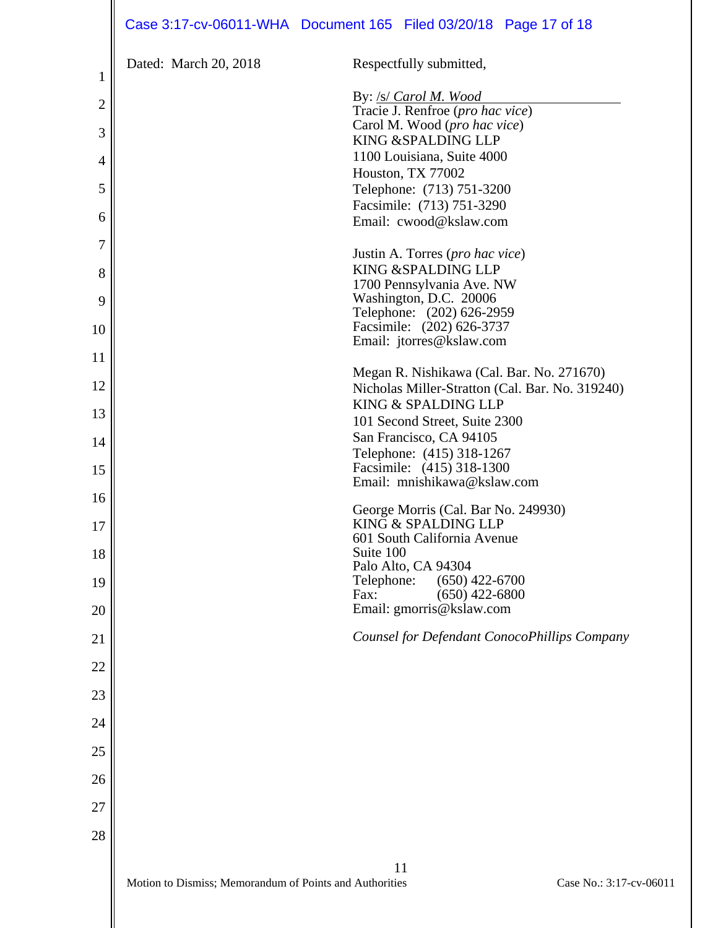|                | Case 3:17-cv-06011-WHA Document 165 Filed 03/20/18 Page 17 of 18 |                                                            |                         |
|----------------|------------------------------------------------------------------|------------------------------------------------------------|-------------------------|
| 1              | Dated: March 20, 2018                                            | Respectfully submitted,                                    |                         |
|                |                                                                  | By: /s/ Carol M. Wood                                      |                         |
| $\overline{2}$ |                                                                  | Tracie J. Renfroe (pro hac vice)                           |                         |
| 3              |                                                                  | Carol M. Wood (pro hac vice)<br>KING &SPALDING LLP         |                         |
| $\overline{4}$ |                                                                  | 1100 Louisiana, Suite 4000                                 |                         |
|                |                                                                  | Houston, TX 77002                                          |                         |
| 5              |                                                                  | Telephone: (713) 751-3200                                  |                         |
| 6              |                                                                  | Facsimile: (713) 751-3290<br>Email: cwood@kslaw.com        |                         |
|                |                                                                  |                                                            |                         |
| 7              |                                                                  | Justin A. Torres (pro hac vice)                            |                         |
| 8              |                                                                  | KING & SPALDING LLP                                        |                         |
| 9              |                                                                  | 1700 Pennsylvania Ave. NW<br>Washington, D.C. 20006        |                         |
|                |                                                                  | Telephone: (202) 626-2959                                  |                         |
| 10             |                                                                  | Facsimile: (202) 626-3737<br>Email: jtorres@kslaw.com      |                         |
| 11             |                                                                  |                                                            |                         |
|                |                                                                  | Megan R. Nishikawa (Cal. Bar. No. 271670)                  |                         |
| 12             |                                                                  | Nicholas Miller-Stratton (Cal. Bar. No. 319240)            |                         |
| 13             |                                                                  | KING & SPALDING LLP<br>101 Second Street, Suite 2300       |                         |
| 14             |                                                                  | San Francisco, CA 94105                                    |                         |
|                |                                                                  | Telephone: (415) 318-1267                                  |                         |
| 15             |                                                                  | Facsimile: (415) 318-1300<br>Email: mnishikawa@kslaw.com   |                         |
| 16             |                                                                  |                                                            |                         |
|                |                                                                  | George Morris (Cal. Bar No. 249930)<br>KING & SPALDING LLP |                         |
| 17             |                                                                  | 601 South California Avenue                                |                         |
| 18             |                                                                  | Suite 100                                                  |                         |
| 19             |                                                                  | Palo Alto, CA 94304<br>Telephone:<br>$(650)$ 422-6700      |                         |
|                |                                                                  | $(650)$ 422-6800<br>Fax:                                   |                         |
| 20             |                                                                  | Email: gmorris@kslaw.com                                   |                         |
| 21             |                                                                  | Counsel for Defendant ConocoPhillips Company               |                         |
|                |                                                                  |                                                            |                         |
| 22             |                                                                  |                                                            |                         |
| 23             |                                                                  |                                                            |                         |
| 24             |                                                                  |                                                            |                         |
|                |                                                                  |                                                            |                         |
| 25             |                                                                  |                                                            |                         |
| 26             |                                                                  |                                                            |                         |
| 27             |                                                                  |                                                            |                         |
| 28             |                                                                  |                                                            |                         |
|                |                                                                  |                                                            |                         |
|                |                                                                  | 11                                                         |                         |
|                | Motion to Dismiss; Memorandum of Points and Authorities          |                                                            | Case No.: 3:17-cv-06011 |